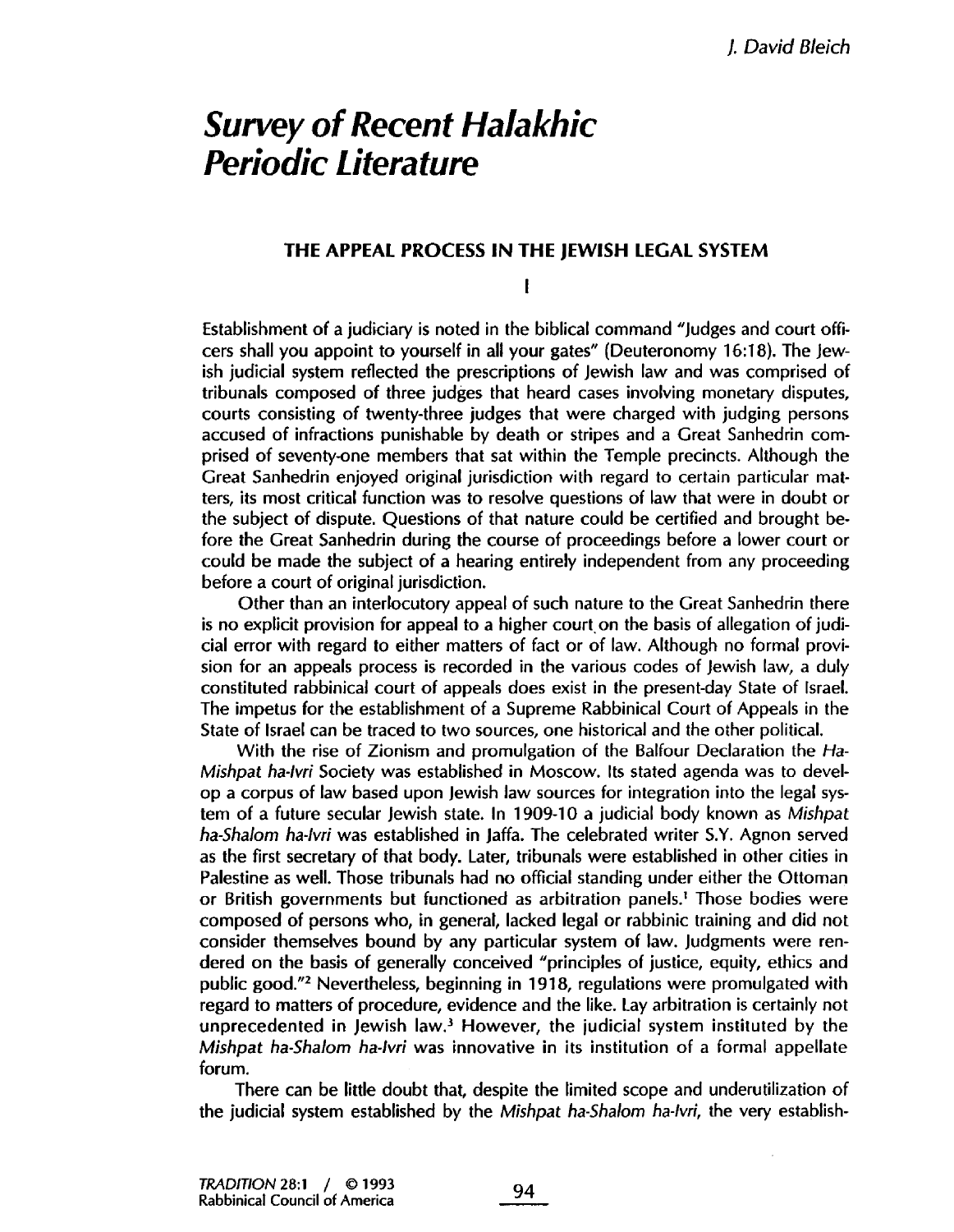# **Survey of Recent Halakhic** Periodic Literature

## THE APPEAL PROCESS IN THE JEWISH LEGAL SYSTEM

I

Establishment of a judiciary is noted in the biblical command "Judges and court officers shall you appoint to yourself in all your gates" (Deuteronomy 16:18). The Jewish judicial system reflected the prescriptions of Jewish law and was comprised of tribunals composed of three judges that heard cases involving monetary disputes, courts consisting of twenty-three judges that were charged with judging persons accused of infractions punishable by death or stripes and a Great Sanhedrin comprised of seventy-one members that sat within the Temple precincts. Although the Great Sanhedrin enjoyed original jurisdiction with regard to certain particular matters, its most critical function was to resolve questions of law that were in doubt or the subject of dispute. Questions of that nature could be certified and brought before the Great Sanhedrin during the course of proceedings before a lower court or could be made the subject of a hearing entirely independent from any proceeding before a court of original jurisdiction.

Other than an interlocutory appeal of such nature to the Great Sanhedrin there is no explicit provision for appeal to a higher court on the basis of allegation of judicial error with regard to either matters of fact or of law. Although no formal provision for an appeals process is recorded in the various codes of Jewish law, a duly constituted rabbinical court of appeals does exist in the present-day State of IsraeL. The impetus for the establishment of a Supreme Rabbinical Court of Appeals in the State of Israel can be traced to two sources, one historical and the other politicaL.

With the rise of Zionism and promulgation of the Balfour Declaration the Ha-Mishpat ha-/vri Society was established in Moscow. Its stated agenda was to develop a corpus of law based upon Jewish law sources for integration into the legal system of a future secular Jewish state. In 1909-10 a judicial body known as Mishpat ha-Shalom ha-*lvri* was established in Jaffa. The celebrated writer S.Y. Agnon served as the first secretary of that body. Later, tribunals were established in other cities in Palestine as welL. Those tribunals had no official standing under either the Ottoman or British governments but functioned as arbitration panels.<sup>1</sup> Those bodies were composed of persons who, in general, lacked legal or rabbinic training and did not consider themselves bound by any particular system of law. Judgments were rendered on the basis of generally conceived "principles of justice, equity, ethics and public good."<sup>2</sup> Nevertheless, beginning in 1918, regulations were promulgated with regard to matters of procedure, evidence and the like. Lay arbitration is certainly not unprecedented in Jewish law.3 However, the judicial system instituted by the Mishpat ha-ShaJom ha-/vri was innovative in its institution of a formal appellate forum.

There can be little doubt that, despite the limited scope and underutilization of the judicial system established by the Mishpat ha-Shalom ha-/vri, the very establish-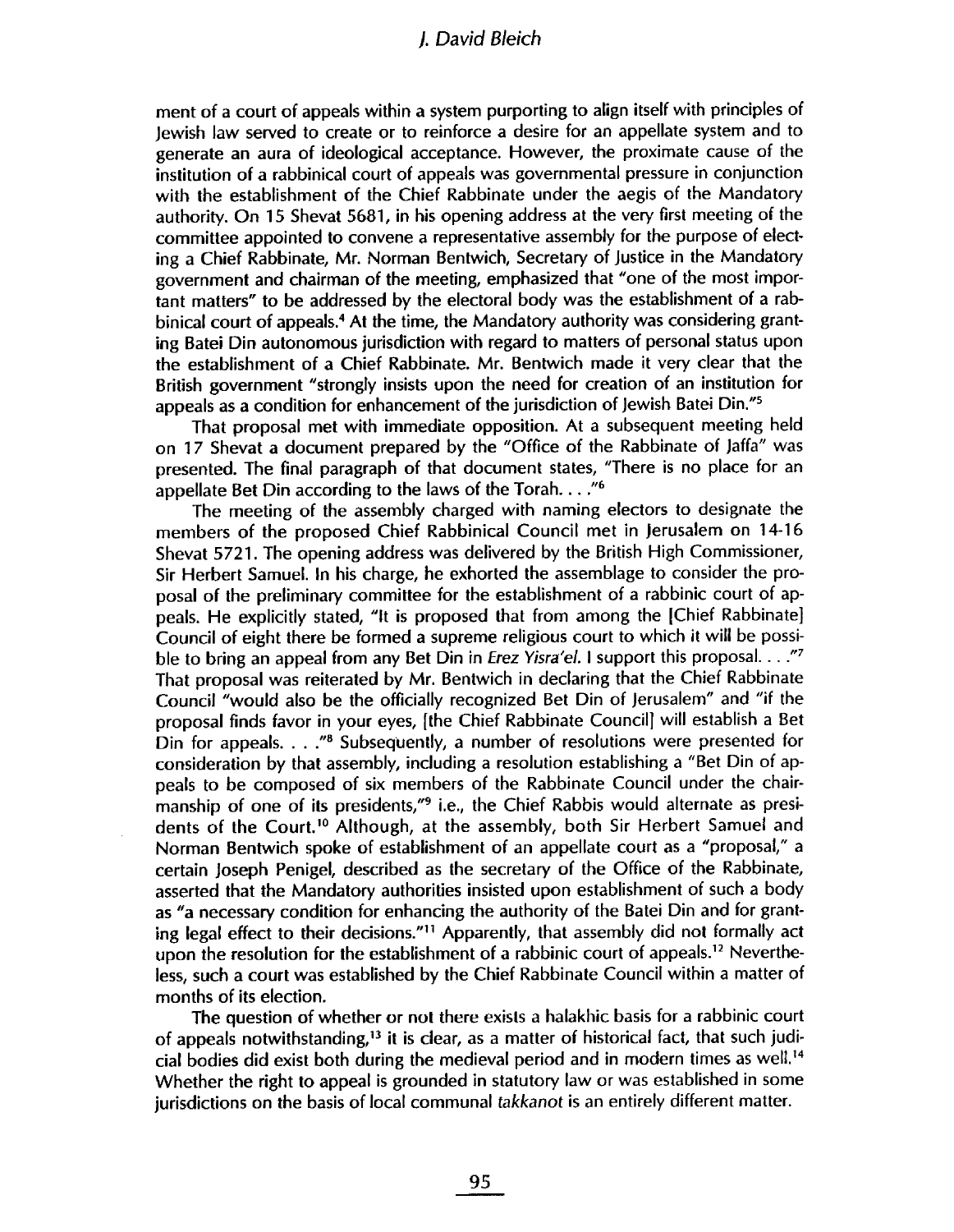ment of a court of appeals within a system purporting to align itself with principles of Jewish law served to create or to reinforce a desire for an appellate system and to generate an aura of ideological acceptance. However, the proximate cause of the institution of a rabbinical court of appeals was governmental pressure in conjunction with the establishment of the Chief Rabbinate under the aegis of the Mandatory authority. On 15 Shevat 5681, in his opening address at the very first meeting of the committee appointed to convene a representative assembly for the purpose of electing a Chief Rabbinate, Mr. Norman Bentwich, Secretary of Justice in the Mandatory government and chairman of the meeting, emphasized that "one of the most important matters" to be addressed by the electoral body was the establishment of a rabbinical court of appeals.4 At the time, the Mandatory authority was considering granting Batei Din autonomous jurisdiction with regard to matters of personal status upon the establishment of a Chief Rabbinate. Mr. Bentwich made it very clear that the British government "strongly insists upon the need for creation of an institution for appeals as a condition for enhancement of the jurisdiction of Jewish Batei Din."<sup>5</sup>

That proposal met with immediate opposition. At a subsequent meeting held on 17 Shevat a document prepared by the "Offce of the Rabbinate of Jaffa" was presented. The final paragraph of that document states, "There is no place for an appellate Bet Din according to the laws of the Torah. . . ."6

The meeting of the assembly charged with naming electors to designate the members of the proposed Chief Rabbinical Council met in Jerusalem on 14-16 Shevat 5721. The opening address was delivered by the British High Commissioner, Sir Herbert Samuel. In his charge, he exhorted the assemblage to consider the proposal of the preliminary committee for the establishment of a rabbinic court of appeals. He explicitly stated, "It is proposed that from among the [Chief Rabbinate] Council of eight there be formed a supreme religious court to which it wil be possible to bring an appeal from any Bet Din in *Erez Yisra'el*. I support this proposal. . . . "7 That proposal was reiterated by Mr. Bentwich in declaring that the Chief Rabbinate Council "would also be the officially recognized Bet Din of Jerusalem" and "if the proposal finds favor in your eyes, !the Chief Rabbinate CouncilJ wil establish a Bet Din for appeals. . . ."8 Subsequently, a number of resolutions were presented for consideration by that assembly, including a resolution establishing a "Bet Din of appeals to be composed of six members of the Rabbinate Council under the chairmanship of one of its presidents,"9 i.e., the Chief Rabbis would alternate as presidents of the Court,10 Although, at the assembly, both Sir Herbert Samuel and Norman Bentwich spoke of establishment of an appellate court as a "proposal," a certain Joseph Penigel, described as the secretary of the Office of the Rabbinate, asserted that the Mandatory authorities insisted upon establishment of such a body as "a necessary condition for enhancing the authority of the Batei Din and for granting legal effect to their decisions."<sup>11</sup> Apparently, that assembly did not formally act upon the resolution for the establishment of a rabbinic court of appeals.<sup>12</sup> Nevertheless, such a court was established by the Chief Rabbinate Council within a matter of months of its election.

The question of whether or not there exists a halakhic basis for a rabbinic court of appeals notwithstanding,13 it is clear, as a matter of historical fact, that such judicial bodies did exist both during the medieval period and in modern times as well,14 Whether the right to appeal is grounded in statutory law or was established in some jurisdictions on the basis of local communal takkanot is an entirely different matter.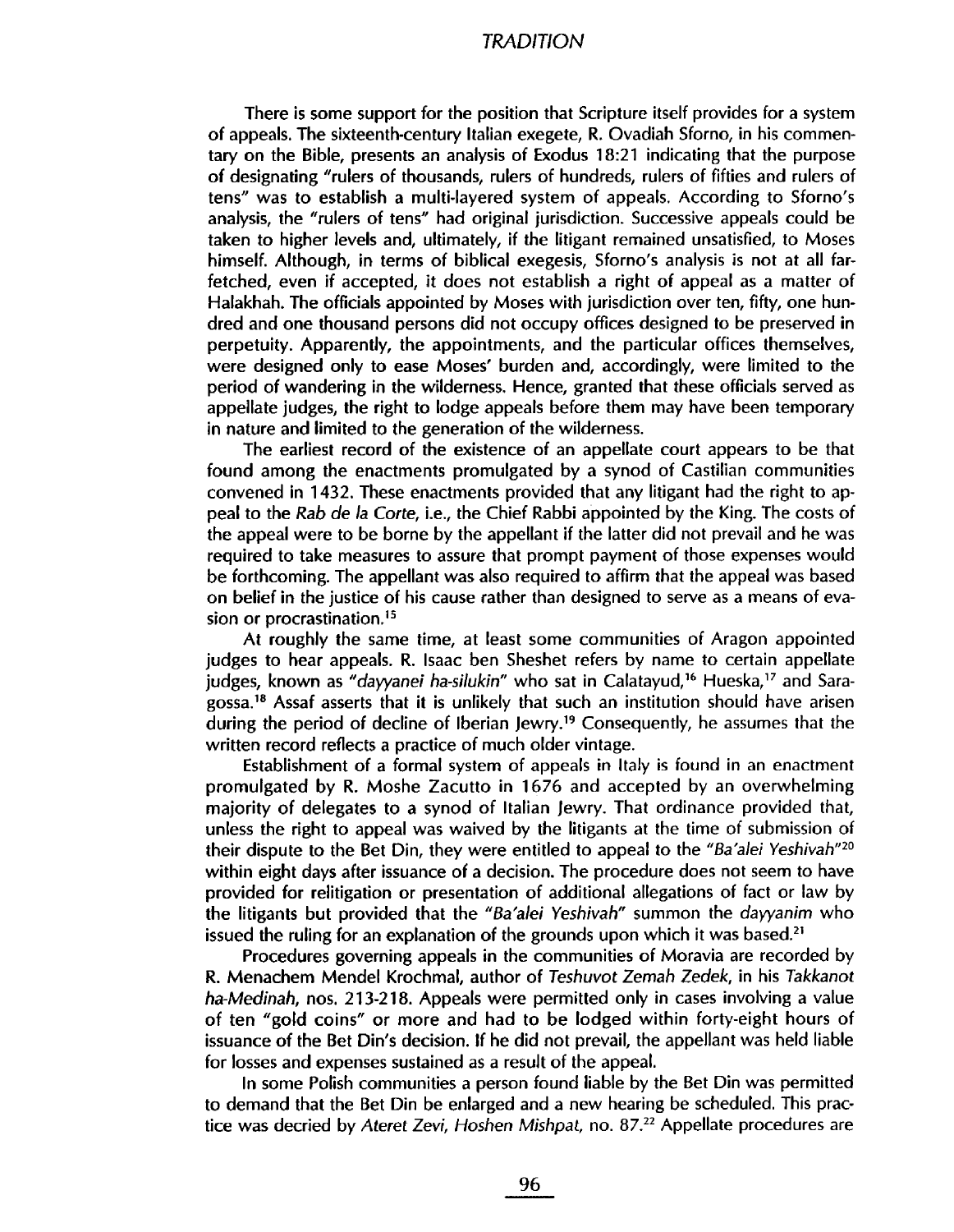There is some support for the position that Scripture itself provides for a system of appeals. The sixteenth-century Italian exegete, R. Ovadiah Sforno, in his commentary on the Bible, presents an analysis of Exodus 18:21 indicating that the purpose of designating "rulers of thousands, rulers of hundreds, rulers of fifties and rulers of tens" was to establish a multi-layered system of appeals. According to Sforno's analysis, the "rulers of tens" had original jurisdiction. Successive appeals could be taken to higher levels and, ultimately, if the litigant remained unsatisfied, to Moses himself. Although, in terms of biblical exegesis, Sforno's analysis is not at all farfetched, even if accepted, it does not establish a right of appeal as a matter of Halakhah. The offcials appointed by Moses with jurisdiction over ten, fifty, one hundred and one thousand persons did not occupy offices designed to be preserved in perpetuity. Apparently, the appointments, and the particular offices themselves, were designed only to ease Moses' burden and, accordingly, were limited to the period of wandering in the wilderness. Hence, granted that these offcials served as appellate judges, the right to lodge appeals before them may have been temporary in nature and limited to the generation of the wilderness.

The earliest record of the existence of an appellate court appears to be that found among the enactments promulgated by a synod of Castilian communities convened in 1432. These enactments provided that any litigant had the right to appeal to the Rab de la Corte, i.e., the Chief Rabbi appointed by the King. The costs of the appeal were to be borne by the appellant if the latter did not prevail and he was required to take measures to assure that prompt payment of those expenses would be forthcoming. The appellant was also required to affrm that the appeal was based on belief in the justice of his cause rather than designed to serve as a means of evasion or procrastination.<sup>15</sup>

At roughly the same time, at least some communities of Aragon appointed judges to hear appeals. R. Isaac ben Sheshet refers by name to certain appellate judges, known as "dayyanei ha-silukin" who sat in Calatayud,<sup>16</sup> Hueska,<sup>17</sup> and Saragossa.18 Assaf asserts that it is unlikely that such an institution should have arisen during the period of decline of Iberian Jewry.19 Consequently, he assumes that the written record reflects a practice of much older vintage.

Establishment of a formal system of appeals in Italy is found in an enactment promulgated by R. Moshe Zacutto in 1676 and accepted by an overwhelming majority of delegates to a synod of Italian Jewry. That ordinance provided that, unless the right to appeal was waived by the litigants at the time of submission of their dispute to the Bet Din, they were entitled to appeal to the "Ba'alei Yeshivah"<sup>20</sup> within eight days after issuance of a decision. The procedure does not seem to have provided for relitigation or presentation of additional allegations of fact or law by the litigants but provided that the "Ba'alei Yeshivah" summon the dayyanim who issued the ruling for an explanation of the grounds upon which it was based.<sup>21</sup>

Procedures governing appeals in the communities of Moravia are recorded by R. Menachem Mendel Krochmal, author of Teshuvot Zemah Zedek, in his Takkanot ha-Medinah, nos. 213-218. Appeals were permitted only in cases involving a value of ten "gold coins" or more and had to be lodged within forty-eight hours of issuance of the Bet Din's decision. If he did not prevaiL, the appellant was held liable for losses and expenses sustained as a result of the appeal,

In some Polish communities a person found liable by the Bet Din was permitted to demand that the Bet Din be enlarged and a new hearing be scheduled, This practice was decried by Ateret Zevi, Hoshen Mishpat, no. 87.<sup>22</sup> Appellate procedures are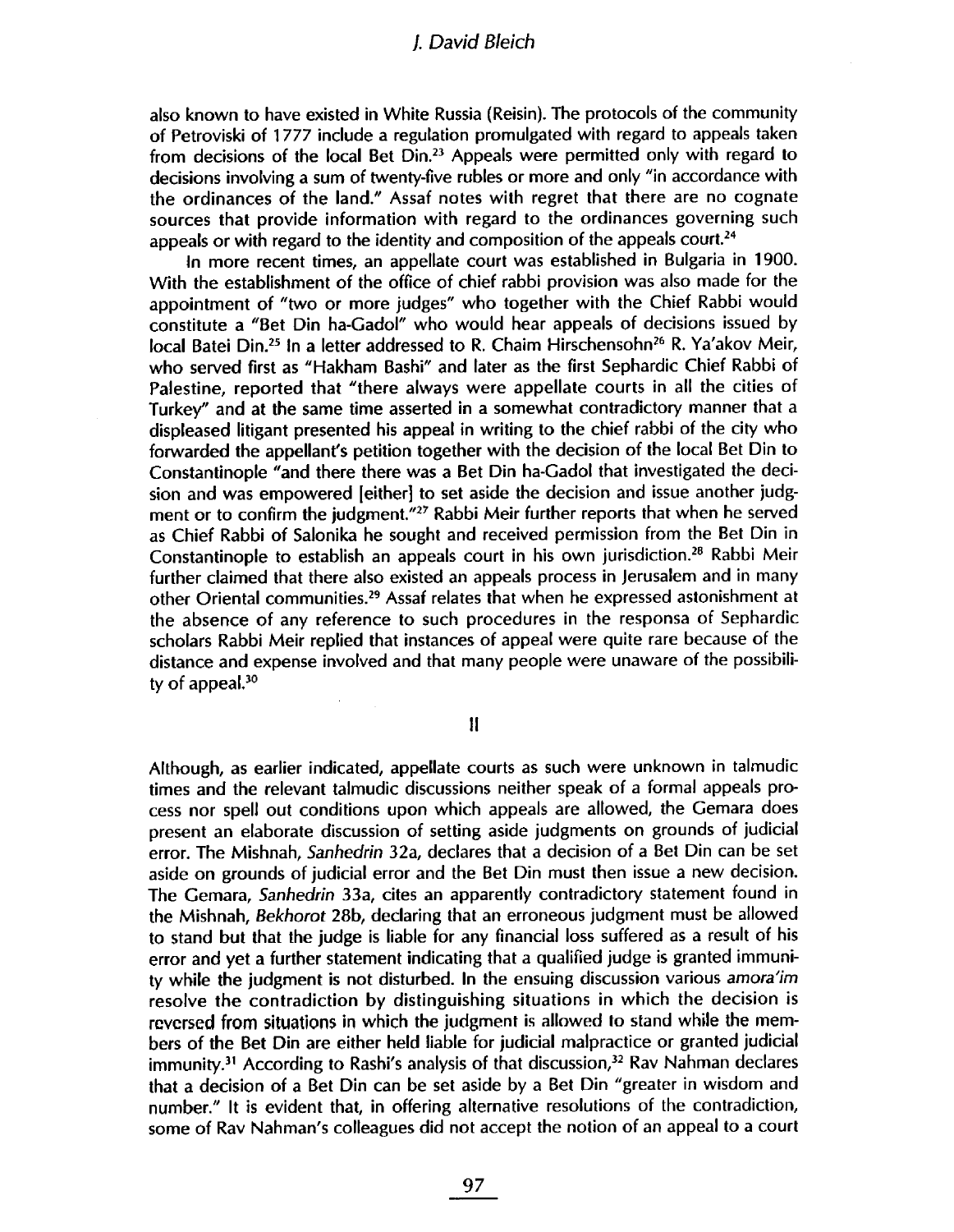also known to have existed in White Russia (Reisin). The protocols of the community of Petroviski of 1777 include a regulation promulgated with regard to appeals taken from decisions of the local Bet Din.<sup>23</sup> Appeals were permitted only with regard to decisions involving a sum of twenty-five rubles or more and only "in accordance with the ordinances of the land." Assaf notes with regret that there are no cognate sources that provide information with regard to the ordinances governing such appeals or with regard to the identity and composition of the appeals court.<sup>24</sup>

In more recent times, an appellate court was established in Bulgaria in 1900. With the establishment of the offce of chief rabbi provision was also made for the appointment of "two or more judges" who together with the Chief Rabbi would constitute a "Bet Din ha-Gadol" who would hear appeals of decisions issued by local Batei Din.<sup>25</sup> In a letter addressed to R. Chaim Hirschensohn<sup>26</sup> R. Ya'akov Meir, who served first as "Hakham Bashi" and later as the first Sephardic Chief Rabbi of Palestine, reported that "there always were appellate courts in all the cities of Turkey" and at the same time asserted in a somewhat contradictory manner that a displeased litigant presented his appeal in writing to the chief rabbi of the city who forwarded the appellant's petition together with the decision of the local Bet Din to Constantinople "and there there was a Bet Din ha-Gadol that investigated the decision and was empowered leither) to set aside the decision and issue another judgment or to confirm the judgment."27 Rabbi Meir further reports that when he served as Chief Rabbi of Salonika he sought and received permission from the Bet Din in Constantinople to establish an appeals court in his own jurisdiction.<sup>28</sup> Rabbi Meir further claimed that there also existed an appeals process in Jerusalem and in many other Oriental communities.29 Assaf relates that when he expressed astonishment at the absence of any reference to such procedures in the responsa of Sephardic scholars Rabbi Meir replied that instances of appeal were quite rare because of the distance and expense involved and that many people were unaware of the possibilty of appeal.<sup>30</sup>

II

Although, as earlier indicated, appellate courts as such were unknown in talmudic times and the relevant talmudic discussions neither speak of a formal appeals process nor spell out conditions upon which appeals are allowed, the Gemara does present an elaborate discussion of settng aside judgments on grounds of judicial error. The Mishnah, Sanhedrin 32a, declares that a decision of a Bet Din can be set aside on grounds of judicial error and the Bet Din must then issue a new decision. The Gemara, Sanhedrin 33a, cites an apparently contradictory statement found in the Mishnah, Bekhorot 28b, declaring that an erroneous judgment must be allowed to stand but that the judge is liable for any financial loss suffered as a result of his error and yet a further statement indicating that a qualified judge is granted immunity while the judgment is not disturbed. In the ensuing discussion various amora'im resolve the contradiction by distinguishing situations in which the decision is rcvcrsed from situations in which the judgment is allowed to stand while the members of the Bet Din are either held liable for judicial malpractice or granted judicial immunity.<sup>31</sup> According to Rashi's analysis of that discussion,<sup>32</sup> Rav Nahman declares that a decision of a Bet Din can be set aside by a Bet Din "greater in wisdom and number." It is evident that, in offering alternative resolutions of the contradiction, some of Rav Nahman's colleagues did not accept the notion of an appeal to a court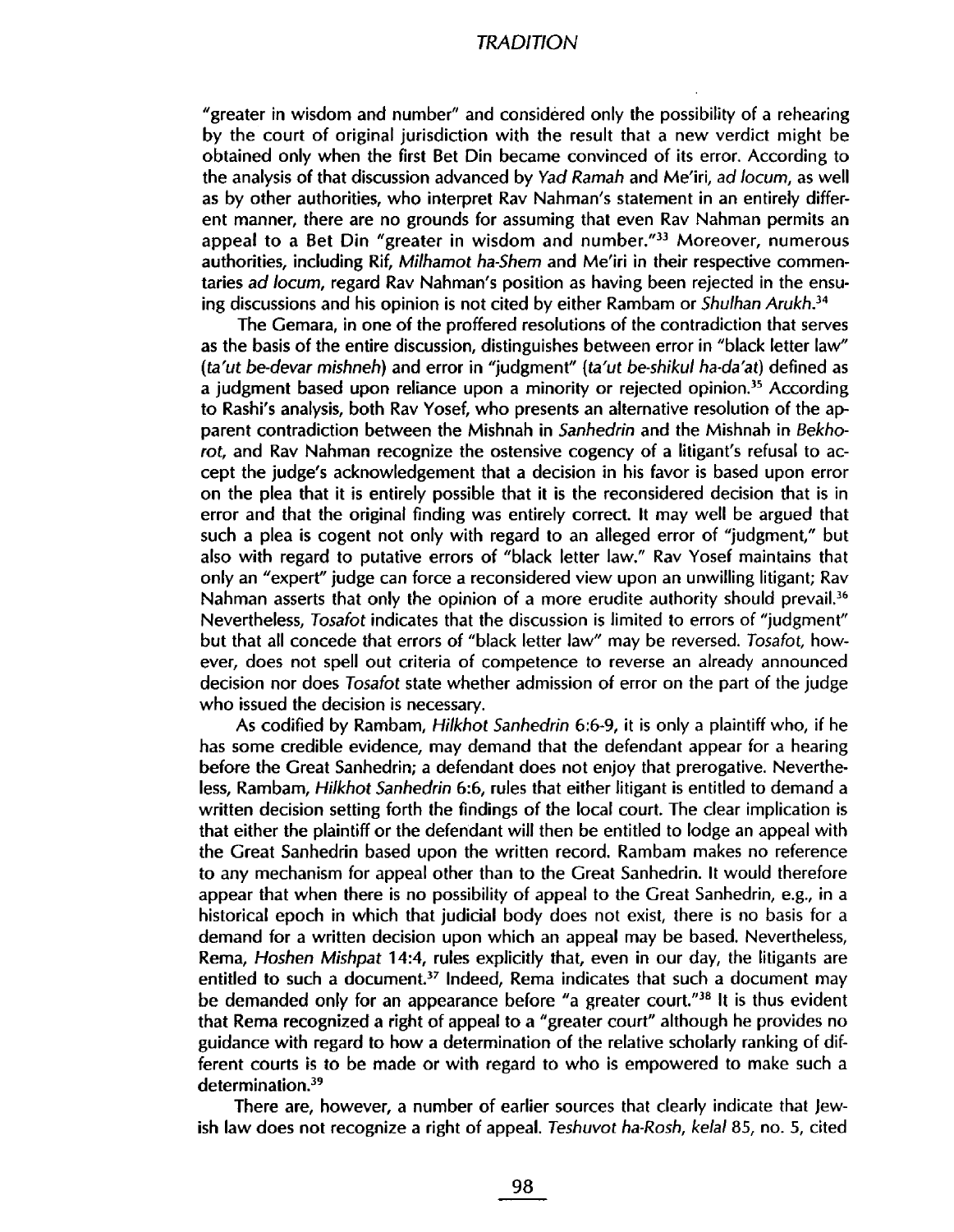"greater in wisdom and number" and considered only the possibility of a rehearing by the court of original jurisdiction with the result that a new verdict might be obtained only when the first Bet Din became convinced of its error. According to the analysis of that discussion advanced by Yad Ramah and Me'iri, ad locum, as well as by other authorities, who interpret Rav Nahman's statement in an entirely different manner, there are no grounds for assuming that even Rav Nahman permits an appeal to a Bet Din "greater in wisdom and number."33 Moreover, numerous authorities, including Rif, Milhamot ha-Shem and Me'iri in their respective commentaries ad locum, regard Rav Nahman's position as having been rejected in the ensuing discussions and his opinion is not cited by either Rambam or *Shulhan Arukh*.<sup>34</sup>

The Gemara, in one of the proffered resolutions of the contradiction that serves as the basis of the entire discussion, distinguishes between error in "black letter law" (ta'ut be-devar mishneh) and error in "judgment" (ta'ut be-shikul ha-da'at) defined as a judgment based upon reliance upon a minority or rejected opinion.3s According to Rashi's analysis, both Rav Yosef, who presents an alternative resolution of the apparent contradiction between the Mishnah in Sanhedrin and the Mishnah in Bekhorot, and Rav Nahman recognize the ostensive cogency of a litigant's refusal to accept the judge's acknowledgement that a decision in his favor is based upon error on the plea that it is entirely possible that it is the reconsidered decision that is in error and that the original finding was entirely correct. It may well be argued that such a plea is cogent not only with regard to an alleged error of "judgment," but also with regard to putative errors of "black letter law." Rav Yosef maintains that only an "expert" judge can force a reconsidered view upon an unwilling litigant; Rav Nahman asserts that only the opinion of a more erudite authority should prevail.<sup>36</sup> Nevertheless, Tosafot indicates that the discussion is limited to errors of "judgment" but that all concede that errors of "black letter law" may be reversed. Tosafot, however, does not spell out criteria of competence to reverse an already announced decision nor does Tosafot state whether admission of error on the part of the judge who issued the decision is necessary.

As codified by Rambam, Hilkhot Sanhedrin 6:6-9, it is only a plaintiff who, if he has some credible evidence, may demand that the defendant appear for a hearing before the Great Sanhedrin; a defendant does not enjoy that prerogative. Nevertheless, Rambam, Hilkhot Sanhedrin 6:6, rules that either litigant is entitled to demand a written decision setting forth the findings of the local court. The clear implication is that either the plaintiff or the defendant wil then be entitled to lodge an appeal with the Great Sanhedrin based upon the written record. Rambam makes no reference to any mechanism for appeal other than to the Great Sanhedrin. It would therefore appear that when there is no possibility of appeal to the Great Sanhedrin, e.g., in a historical epoch in which that judicial body does not exist, there is no basis for a demand for a written decision upon which an appeal may be based. Nevertheless, Rema, Hoshen Mishpat 14:4, rules explicitly that, even in our day, the litigants are entitled to such a document.<sup>37</sup> Indeed, Rema indicates that such a document may be demanded only for an appearance before "a greater court."38 It is thus evident that Rema recognized a right of appeal to a "greater court" although he provides no guidance with regard to how a determination of the relative scholarly ranking of different courts is to be made or with regard to who is empowered to make such a determination.<sup>39</sup>

There are, however, a number of earlier sources that clearly indicate that Jewish law does not recognize a right of appeal. Teshuvot ha-Rosh, kelal 85, no. 5, cited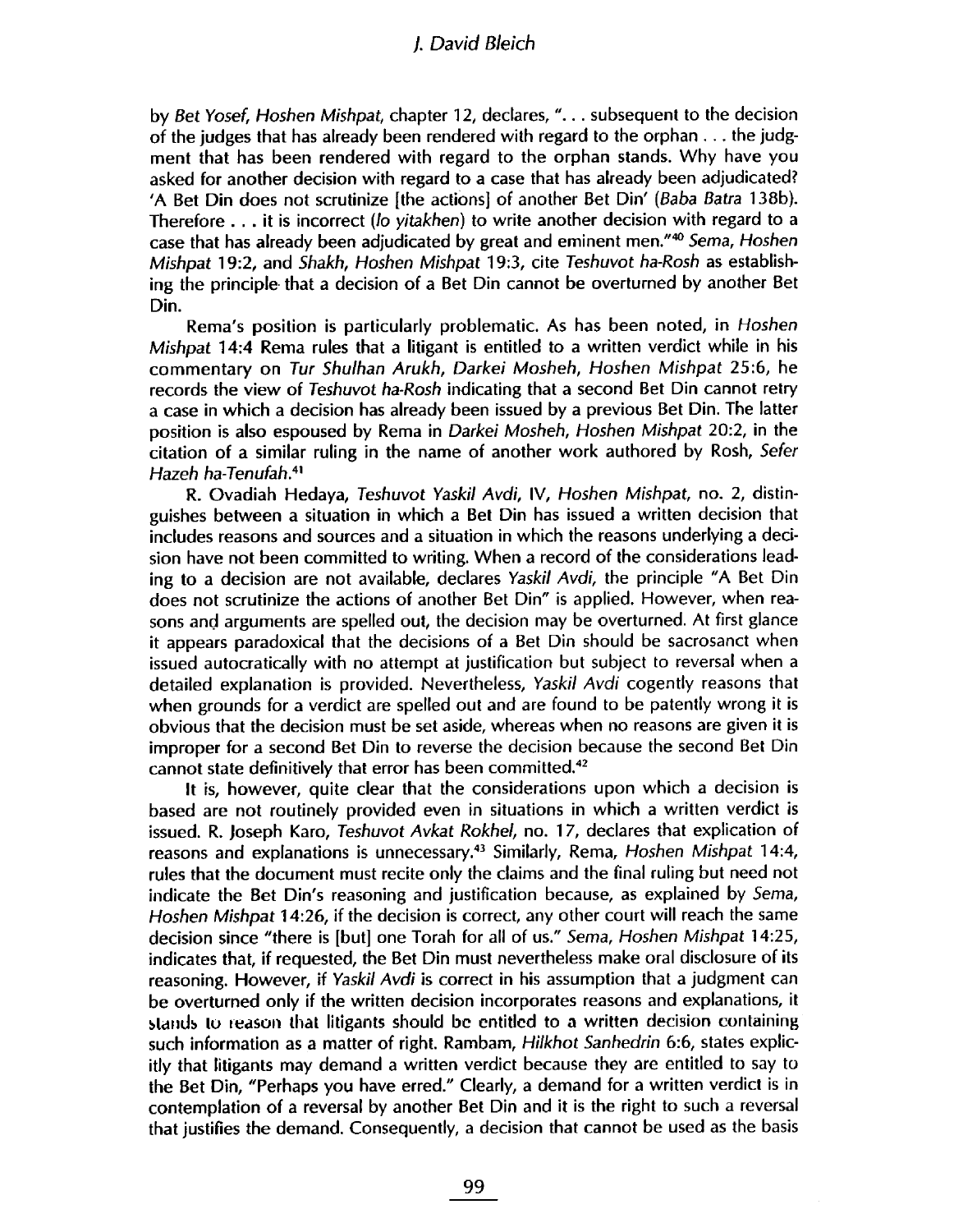by Bet Yosef, Hoshen Mishpat, chapter 12, declares, ". . . subsequent to the decision of the judges that has already been rendered with regard to the orphan. . . the judgment that has been rendered with regard to the orphan stands. Why have you asked for another decision with regard to a case that has already been adjudicated? 'A Bet Din does not scrutinize (the actions) of another Bet Din' (Baba Batra 138b). Therefore . . . it is incorrect (lo yitakhen) to write another decision with regard to a case that has already been adjudicated by great and eminent men."<sup>40</sup> Sema, Hoshen Mishpat 19:2, and shakh, Hoshen Mishpat 19:3, cite Teshuvot ha-Rosh as establishing the principle. that a decision of a Bet Din cannot be overturned by another Bet Din.

Rema's position is particularly problematic. As has been noted, in Hoshen Mishpat 14:4 Rema rules that a litigant is entitled to a written verdict while in his commentary on Tur shulhan Arukh, Darkei Mosheh, Hoshen Mishpat 25:6, he records the view of Teshuvot ha-Rosh indicating that a second Bet Din cannot retry a case in which a decision has already been issued by a previous Bet Din. The latter position is also espoused by Rema in Darkei Mosheh, Hoshen Mishpat 20:2, in the citation of a similar ruling in the name of another work authored by Rosh, Serer Hazeh ha-Tenufah.41

R. Ovadiah Hedaya, Teshuvot Yaskil Avdi, IV, Hoshen Mishpat, no. 2, distinguishes between a situation in which a Bet Din has issued a written decision that includes reasons and sources and a situation in which the reasons underlying a decision have not been committed to writing. When a record of the considerations leading to a decision are not available, declares Yaskil Avdi, the principle "A Bet Din does not scrutinize the actions of another Bet Din" is applied. However, when reasons and arguments are spelled out, the decision may be overturned. At first glance it appears paradoxical that the decisions of a Bet Din should be sacrosanct when issued autocratically with no attempt at justification but subject to reversal when a detailed explanation is provided. Nevertheless, Yaskil Avdi cogently reasons that when grounds for a verdict are spelled out and are found to be patently wrong it is obvious that the decision must be set aside, whereas when no reasons are given it is improper for a second Bet Din to reverse the decision because the second Bet Din cannot state definitively that error has been committed.<sup>42</sup>

It is, however, quite clear that the considerations upon which a decision is based are not routinely provided even in situations in which a written verdict is issued. R. Joseph Karo, Teshuvot Avkat Rokhe/, no. 17, declares that explication of reasons and explanations is unnecessary.43 Similarly, Rema, Hoshen Mishpat 14:4, rules that the document must recite only the claims and the final ruling but need not indicate the Bet Din's reasoning and justification because, as explained by sema, Hoshen Mishpat 14:26, if the decision is correct, any other court will reach the same decision since "there is (but) one Torah for all of us." sema, Hoshen Mishpat 14:25, indicates that, if requested, the Bet Din must nevertheless make oral disclosure of its reasoning. However, if Yaskil Avdi is correct in his assumption that a judgment can be overturned only if the written decision incorporates reasons and explanations, it stands to reason that litigants should be entitled to a written decision containing such information as a matter of right. Rambam, Hilkhot Sanhedrin 6:6, states explicitly that litigants may demand a written verdict because they are entitled to say to the Bet Din, "Perhaps you have erred." Clearly, a demand for a written verdict is in contemplation of a reversal by another Bet Din and it is the right to such a reversal that justifies the demand, Consequently, a decision that cannot be used as the basis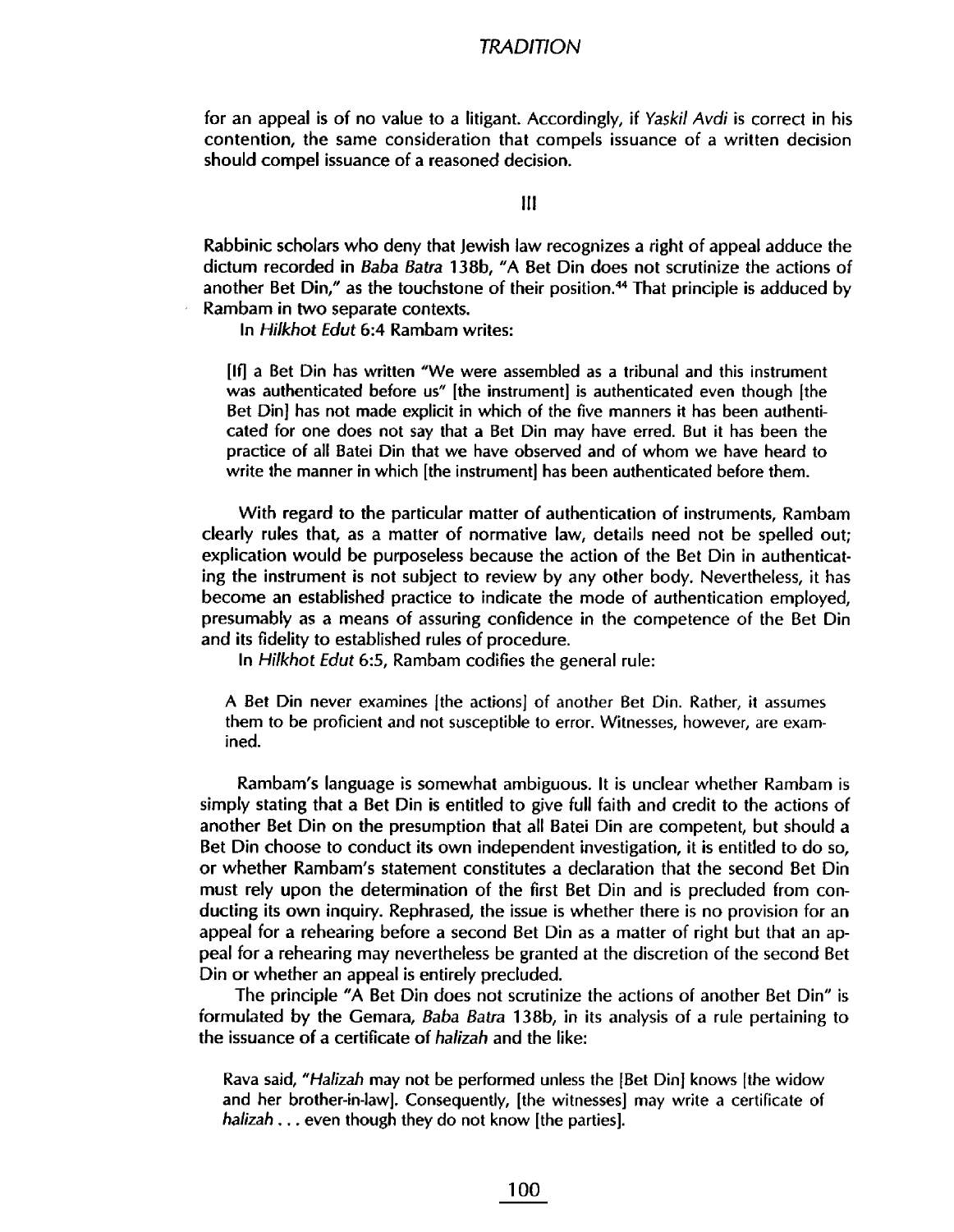for an appeal is of no value to a litigant. Accordingly, if Yaskil Avdi is correct in his contention, the same consideration that compels issuance of a written decision should compel issuance of a reasoned decision.

II

Rabbinic scholars who deny that Jewish law recognizes a right of appeal adduce the dictum recorded in Baba Batra 138b, "A Bet Din does not scrutinize the actions of another Bet Din/' as the touchstone of their position.44 That principle is adduced by Rambam in two separate contexts.

In Hi/khat Edut 6:4 Rambam writes:

(If) a Bet Din has written "We were assembled as a tribunal and this instrument was authenticated before us" (the instrument) is authenticated even though (the Bet Din) has not made explicit in which of the five manners it has been authenticated for one does not say that a Bet Din may have erred. But it has been the practice of all Batei Din that we have observed and of whom we have heard to write the manner in which (the instrument) has been authenticated before them.

With regard to the particular matter of authentication of instruments, Rambam clearly rules that, as a matter of normative law, details need not be spelled out; explication would be purposeless because the action of the Bet Din in authenticating the instrument is not subject to review by any other body. Nevertheless, it has become an established practice to indicate the mode of authentication employed, presumably as a means of assuring confidence in the competence of the Bet Din and its fidelity to established rules of procedure.

In HiJkhot Edut 6:5, Rambam codifies the general rule:

A Bet Din never examines (the actions) of another Bet Din. Rather, it assumes them to be proficient and not susceptible to error. Witnesses, however, are examined.

Rambam's language is somewhat ambiguous. It is unclear whether Rambam is simply stating that a Bet Din is entitled to give full faith and credit to the actions of another Bet Din on the presumption that all Batei Din are competent, but should a Bet Din choose to conduct its own independent investigation, it is entitled to do so, or whether Rambam's statement constitutes a declaration that the second Bet Din must rely upon the determination of the first Bet Din and is precluded from conducting its own inquiry. Rephrased, the issue is whether there is no provision for an appeal for a rehearing before a second Bet Din as a matter of right but that an appeal for a rehearing may nevertheless be granted at the discretion of the second Bet Din or whether an appeal is entirely precluded.

The principle "A Bet Din does not scrutinize the actions of another Bet Din" is formulated by the Gemara, Baba Batra 138b, in its analysis of a rule pertaining to the issuance of a certificate of halizah and the like:

Rava said, "Halizah may not be performed unless the !Bet Din) knows (the widow and her brother-in-law). Consequently, (the witnesses) may write a certificate of halizah. . . even though they do not know (the parties).

100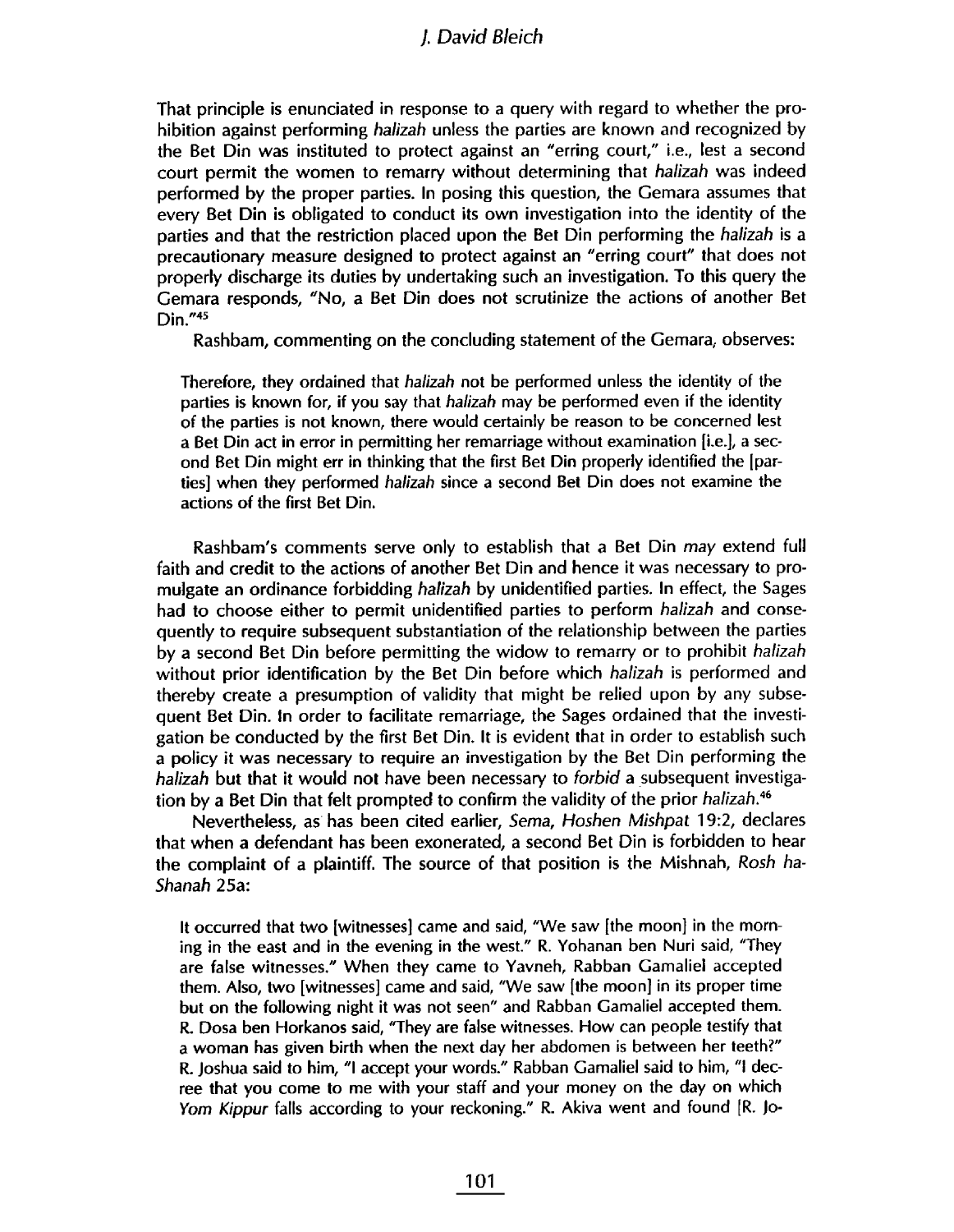That principle is enunciated in response to a query with regard to whether the prohibition against performing halìzah unless the parties are known and recognized by the Bet Din was instituted to protect against an "erring court," i.e., lest a second court permit the women to remarry without determining that halìzah was indeed performed by the proper parties. In posing this question, the Gemara assumes that every Bet Din is obligated to conduct its own investigation into the identity of the parties and that the restriction placed upon the Bet Din performing the halizah is a precautionary measure designed to protect against an "erring court" that does not properly discharge its duties by undertaking such an investigation. To this query the Gemara responds, "No, a Bet Din does not scrutinize the actions of another Bet Din."45

Rashbam, commenting on the concluding statement of the Gemara. observes:

Therefore, they ordained that halizah not be performed unless the identity of the parties is known for, if you say that halizah may be performed even if the identity of the parties is not known, there would certainly be reason to be concerned lest a Bet Din act in error in permitting her remarriage without examination  $[i.e.]$ , a second Bet Din might err in thinking that the first Bet Din properly identified the (parties) when they performed halizah since a second Bet Din does not examine the actions of the first Bet Din.

Rashbam's comments serve only to establish that a Bet Din may extend full faith and credit to the actions of another Bet Din and hence it was necessary to promulgate an ordinance forbidding halizah by unidentified parties. In effect, the Sages had to choose either to permit unidentified parties to perform halizah and consequently to require subsequent substantiation of the relationship between the parties by a second Bet Din before permitting the widow to remarry or to prohibit halizah without prior identification by the Bet Din before which halizah is performed and thereby create a presumption of validity that might be relied upon by any subsequent Bet Din. In order to facilitate remarriage, the Sages ordained that the investigation be conducted by the first Bet Din. It is evident that in order to establish such a policy it was necessary to require an investigation by the Bet Din performing the halizah but that it would not have been necessary to forbid a subsequent investigation by a Bet Din that felt prompted to confirm the validity of the prior halizah.<sup>46</sup>

Nevertheless, as has been cited earlier, Serna, Hoshen Mishpat 19:2, declares that when a defendant has been exonerated, a second Bet Din is forbidden to hear the complaint of a plaintiff. The source of that position is the Mishnah, Rosh hashanah 25a:

It occurred that two (witnesses) came and said, "We saw (the moon) in the morning in the east and in the evening in the west." R. Yohanan ben Nuri said, "They are false witnesses." When they came to Yavneh, Rabban Gamaliel accepted them. Also, two (witnesses) came and said, "We saw (the moon) in its proper time but on the following night it was not seen" and Rabban Gamaliel accepted them. R. Dosa ben Horkanos said, "They are false witnesses. How can people testify that a woman has given birth when the next day her abdomen is between her teeth?" R. Joshua said to him, "1 accept your words." Rabban Gamaliel said to him, "I decree that you come to me with your staff and your money on the day on which Yom Kippur falls according to your reckoning." R. Akiva went and found  $[R.$  Jo-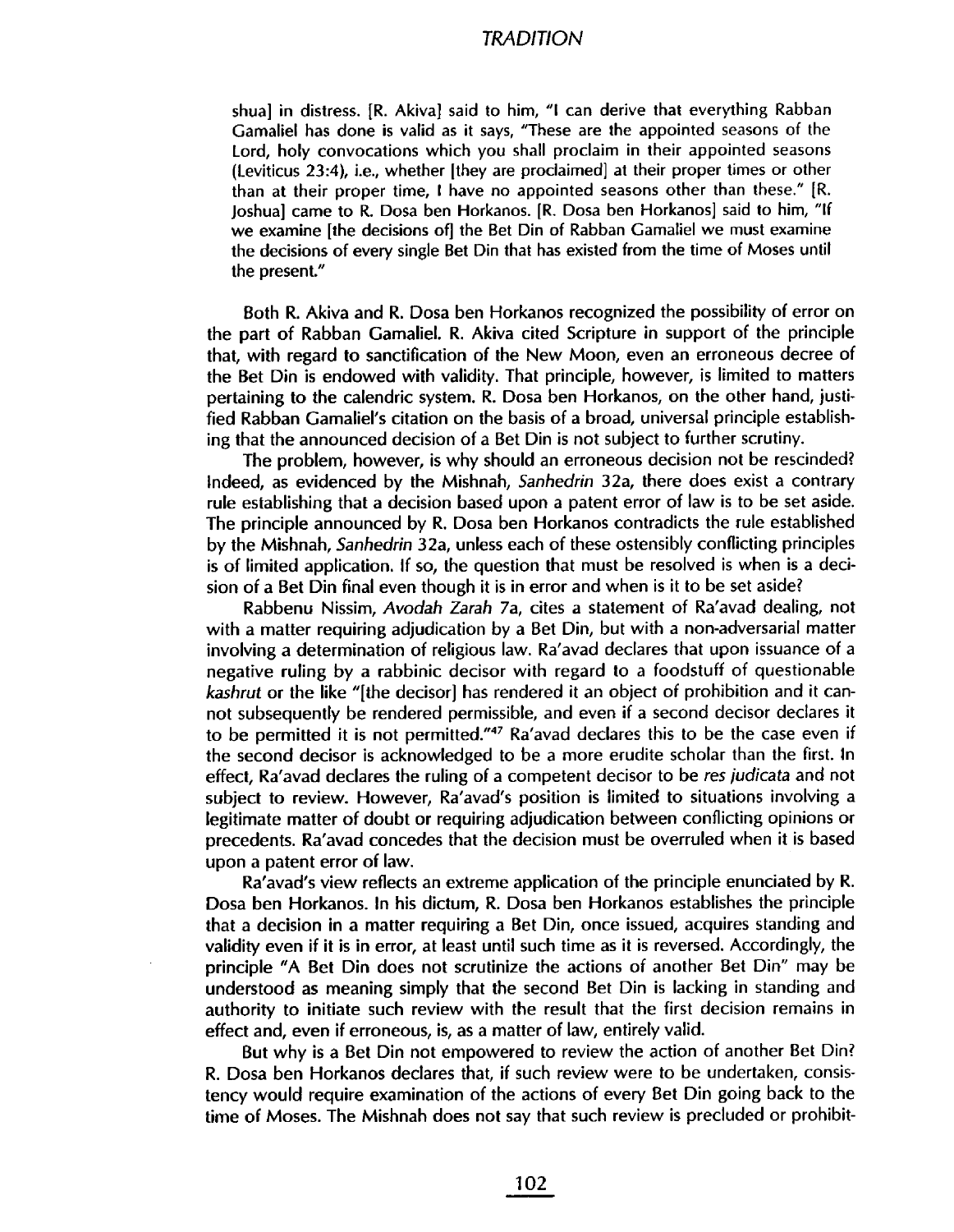shua) in distress. (R. Akival said to him, "I can derive that everything Rabban Gamaliel has done is valid as it says, "These are the appointed seasons of the Lord, holy convocations which you shall proclaim in their appointed seasons (Leviticus 23:4), Le., whether (they are proclaimed) at their proper times or other than at their proper time, 1 have no appointed seasons other than these." (R. Joshua) came to R. Dosa ben Horkanos. (R. Dosa ben Horkanos) said to him, "If we examine (the decisions of) the Bet Din of Rabban Gamaliel we must examine the decisions of every single Bet Din that has existed from the time of Moses until the present."

Both R. Akiva and R. Dosa ben Horkanos recognized the possibility of error on the part of Rabban GamalieL. R. Akiva cited Scripture in support of the principle that, with regard to sanctification of the New Moon, even an erroneous decree of the Bet Din is endowed with validity. That principle, however, is limited to matters pertaining to the calendric system. R. Dosa ben Horkanos, on the other hand, justified Rabban Gamaliel's citation on the basis of a broad, universal principle establishing that the announced decision of a Bet Din is not subject to further scrutiny.

The problem, however, is why should an erroneous decision not be rescinded? Indeed, as evidenced by the Mishnah, Sanhedrin 32a, there does exist a contrary rule establishing that a decision based upon a patent error of law is to be set aside. The principle announced by R. Dosa ben Horkanos contradicts the rule established by the Mishnah, Sanhedrin 32a, unless each of these ostensibly conflicting principles is of limited application. If so, the question that must be resolved is when is a decision of a Bet Din final even though it is in error and when is it to be set aside?

Rabbenu Nissim, Avodah Zarah 7a, cites a statement of Ra'avad dealing, not with a matter requiring adjudication by a Bet Din, but with a non-adversarial matter involving a determination of religious law. Ra'avad declares that upon issuance of a negative ruling by a rabbinic decisor with regard to a foodstuff of questionable kashrut or the like "(the decisor) has rendered it an object of prohibition and it cannot subsequently be rendered permissible, and even if a second decisor declares it to be permitted it is not permitted."47 Ra'avad declares this to be the case even if the second decisor is acknowledged to be a more erudite scholar than the first. In effect, Ra'avad declares the ruling of a competent decisor to be res judicata and not subject to review. However, Ra'avad's position is limited to situations involving a legitimate matter of doubt or requiring adjudication between conflcting opinions or precedents. Ra'avad concedes that the decision must be overruled when it is based upon a patent error of law.

Ra'avad's view reflects an extreme application of the principle enunciated by R. Dosa ben Horkanos. In his dictum, R. Dosa ben Horkanos establishes the principle that a decision in a matter requiring a Bet Din, once issued, acquires standing and validity even if it is in error, at least until such time as it is reversed. Accordingly, the principle "A Bet Din does not scrutinize the actions of another Bet Din" may be understood as meaning simply that the second Bet Din is lacking in standing and authority to initiate such review with the result that the first decision remains in effect and, even if erroneous, is, as a matter of law, entirely valid.

But why is a Bet Din not empowered to review the action of another Bet Din? R. Dosa ben Horkanos declares that, if such review were to be undertaken, consistency would require examination of the actions of every Bet Din going back to the time of Moses. The Mishnah does not say that such review is precluded or prohibit-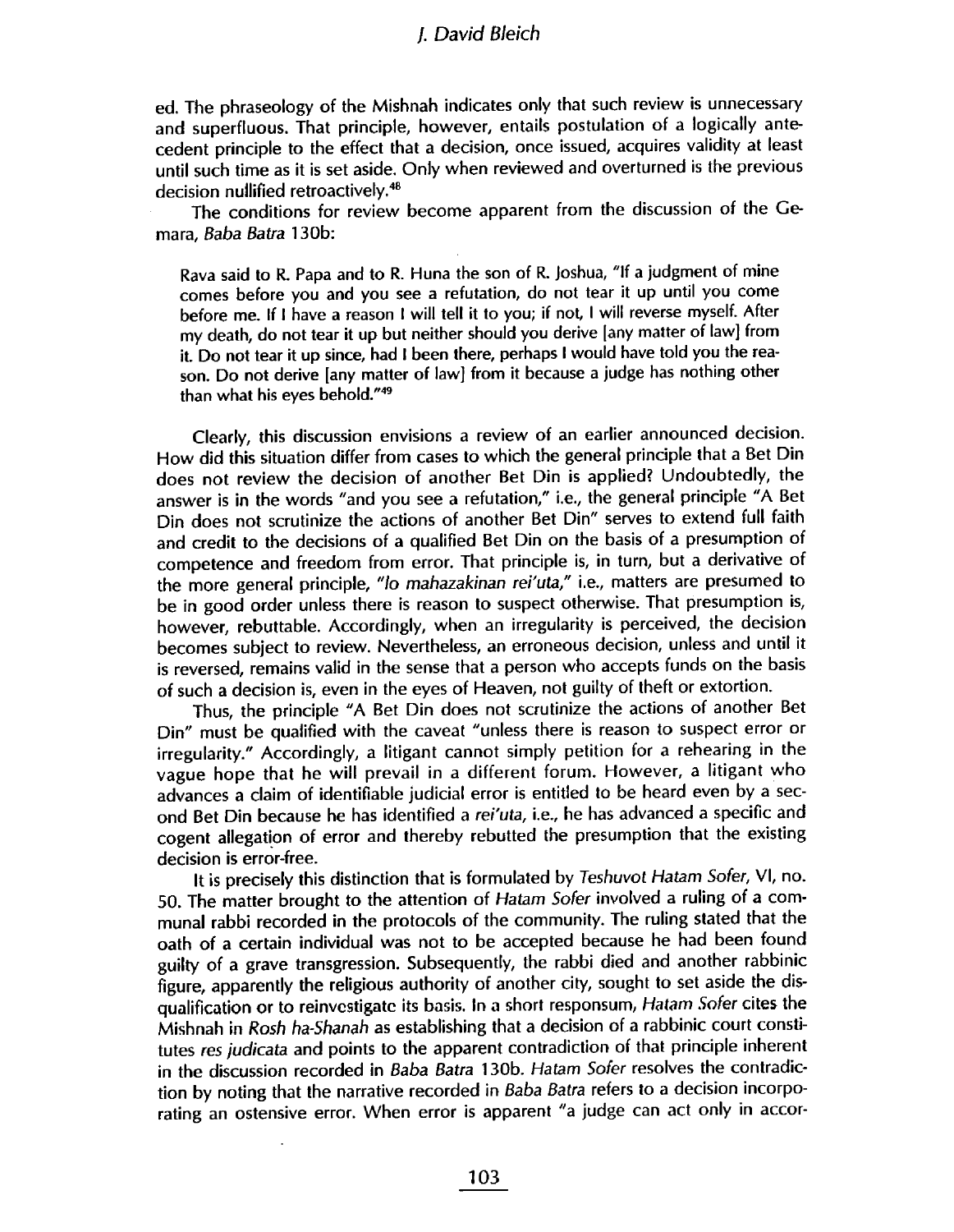ed. The phraseology of the Mishnah indicates only that such review is unnecessary and superfluous. That principle, however, entails postulation of a logically antecedent principle to the effect that a decision, once issued, acquires validity at least until such time as it is set aside. Only when reviewed and overturned is the previous decision nullified retroactively.<sup>48</sup>

The conditions for review become apparent from the discussion of the Gemara, Baba Batra 130b:

Rava said to R. Papa and to R. Huna the son of R. Joshua, "If a judgment of mine comes before you and you see a refutation, do not tear it up until you come before me. If I have a reason I will tell it to you; if not, I will reverse myself. After my death, do not tear it up but neither should you derive lany matter of law) from it. Do not tear it up since, had I been there, perhaps I would have told you the reason. Do not derive [any matter of law] from it because a judge has nothing other than what his eyes behold."49

Clearly, this discussion envisions a review of an earlier announced decision. How did this situation differ from cases to which the general principle that a Bet Din does not review the decision of another Bet Din is applied? Undoubtedly, the answer is in the words "and you see a refutation," i.e., the general principle "A Bet Din does not scrutinize the actions of another Bet Din" serves to extend full faith and credit to the decisions of a qualified Bet Din on the basis of a presumption of competence and freedom from error. That principle is, in turn, but a derivative of the more general principle, "lo mahazakinan rei'uta," i.e., matters are presumed to be in good order unless there is reason to suspect otherwise. That presumption is, however, rebuttable. Accordingly, when an irregularity is perceived, the decision becomes subject to review. Nevertheless, an erroneous decision, unless and until it is reversed, remains valid in the sense that a person who accepts funds on the basis of such a decision is, even in the eyes of Heaven, not guilty of theft or extortion.

Thus, the principle "A Bet Din does not scrutinize the actions of another Bet Din" must be qualified with the caveat "unless there is reason to suspect error or irregularity." Accordingly, a litigant cannot simply petition for a rehearing in the vague hope that he will prevail in a different forum. However, a litigant who advances a claim of identifiable judicial error is entitled to be heard even by a second Bet Din because he has identified a rei'uta, i.e., he has advanced a specific and cogent allegation of error and thereby rebutted the presumption that the existing decision is error-free.

It is precisely this distinction that is formulated by Teshuvot Hatam Sofer, VI, no. 50. The matter brought to the attention of Hatam Sofer involved a ruling of a communal rabbi recorded in the protocols of the community. The ruling stated that the oath of a certain individual was not to be accepted because he had been found guilty of a grave transgression. Subsequently, the rabbi died and another rabbinic figure, apparently the religious authority of another city, sought to set aside the disqualification or to reinvestigate its basis. In a short responsum, Hatam Sofer cites the Mishnah in Rosh ha-shanah as establishing that a decision of a rabbinic court constitutes res judicata and points to the apparent contradiction of that principle inherent in the discussion recorded in Baba Batra 130b. Hatam Sofer resolves the contradiction by noting that the narrative recorded in Baba Batra refers to a decision incorporating an ostensive error. When error is apparent "a judge can act only in accor-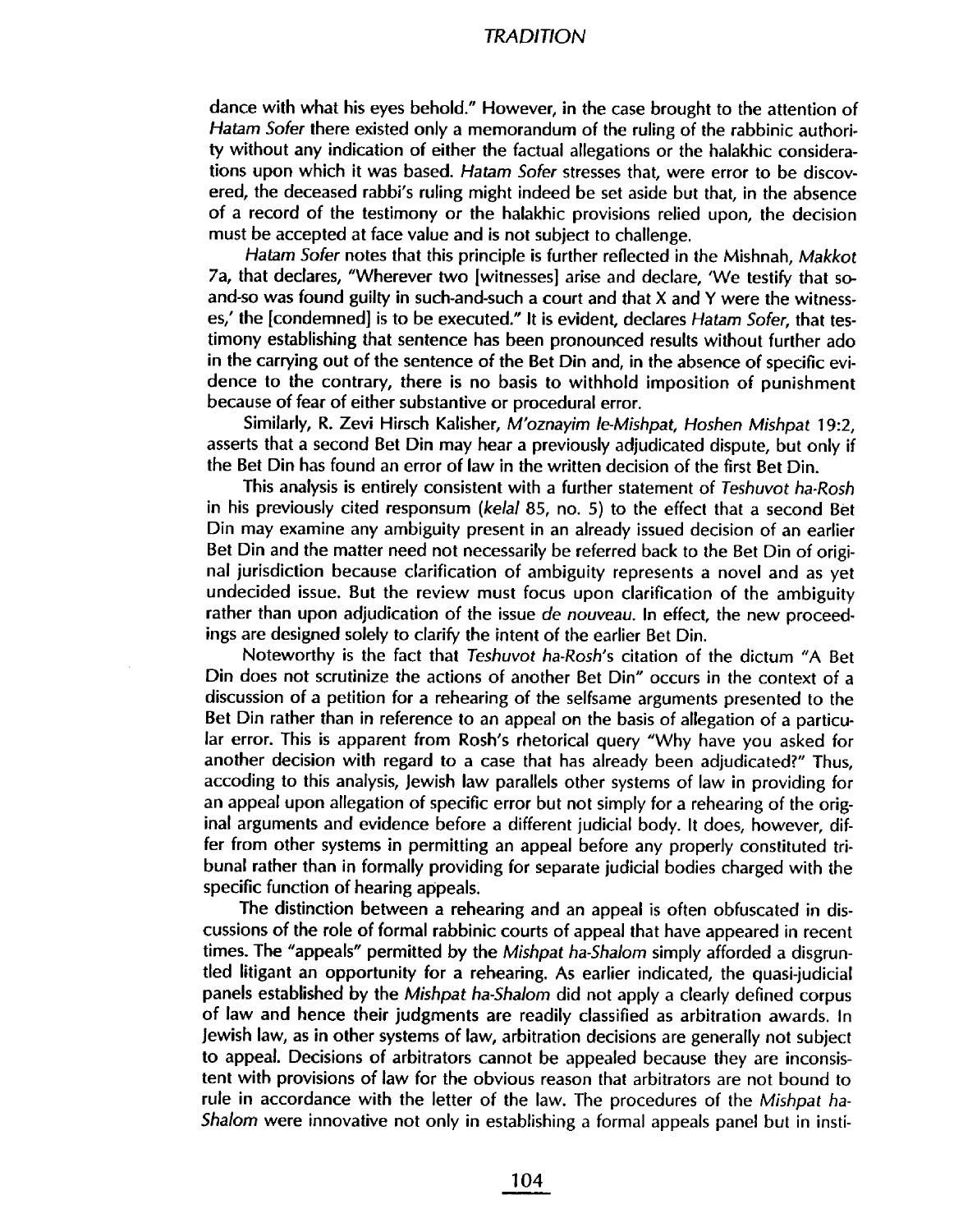dance with what his eyes behold." However, in the case brought to the attention of Hatam Sofer there existed only a memorandum of the ruling of the rabbinic authority without any indication of either the factual allegations or the halakhic considerations upon which it was based. Hatam Sofer stresses that, were error to be discovered, the deceased rabbi's ruling might indeed be set aside but that, in the absence of a record of the testimony or the halakhic provisions relied upon, the decision must be accepted at face value and is not subject to challenge,

Hatam Sofer notes that this principle is further reflected in the Mishnah, Makkot 7a, that declares, "Wherever two (witnesses) arise and declare, 'We testify that soand-so was found guilty in such-and-such a court and that X and Y were the witnesses,' the [condemned] is to be executed." It is evident, declares Hatam Sofer, that testimony establishing that sentence has been pronounced results without further ado in the carrying out of the sentence of the Bet Din and, in the absence of specific evidence to the contrary, there is no basis to withhold imposition of punishment because of fear of either substantive or procedural error.

Similarly, R. Zevi Hirsch Kalisher, M'oznayim le-Mishpat, Hoshen Mishpat 19:2, asserts that a second Bet Din may hear a previously adjudicated dispute, but only if the Bet Din has found an error of law in the written decision of the first Bet Din.

This analysis is entirely consistent with a further statement of Teshuvot ha-Rosh in his previously cited responsum (kelal 85, no. 5) to the effect that a second Bet Din may examine any ambiguity present in an already issued decision of an earlier Bet Din and the matter need not necessarily be referred back to the Bet Din of original jurisdiction because clarification of ambiguity represents a novel and as yet undecided issue. But the review must focus upon clarification of the ambiguity rather than upon adjudication of the issue de nouveau. In effect, the new proceedings are designed solely to clarify the intent of the earlier Bet Din.

Noteworthy is the fact that Teshuvot ha-Rosh's citation of the dictum "A Bet Din does not scrutinize the actions of another Bet Din" occurs in the context of a discussion of a petition for a rehearing of the selfsame arguments presented to the Bet Din rather than in reference to an appeal on the basis of allegation of a particular error. This is apparent from Rosh's rhetorical query "Why have you asked for another decision with regard to a case that has already been adjudicated?" Thus, accoding to this analysis, Jewish law parallels other systems of law in providing for an appeal upon allegation of specific error but not simply for a rehearing of the original arguments and evidence before a different judicial body. It does, however, differ from other systems in permitting an appeal before any properly constituted tribunal rather than in formally providing for separate judicial bodies charged with the specific function of hearing appeals.

The distinction between a rehearing and an appeal is often obfuscated in discussions of the role of formal rabbinic courts of appeal that have appeared in recent times. The "appeals" permitted by the Mishpat ha-Shalom simply afforded a disgruntled litigant an opportunity for a rehearing. As earlier indicated, the quasi-judicial panels established by the Mishpat ha-Shalom did not apply a clearly defined corpus of law and hence their judgments are readily classified as arbitration awards. In Jewish law, as in other systems of law, arbitration decisions are generally not subject to appeaL. Decisions of arbitrators cannot be appealed because they are inconsistent with provisions of law for the obvious reason that arbitrators are not bound to rule in accordance with the letter of the law. The procedures of the Mishpat ha-Shalom were innovative not only in establishing a formal appeals panel but in insti-

104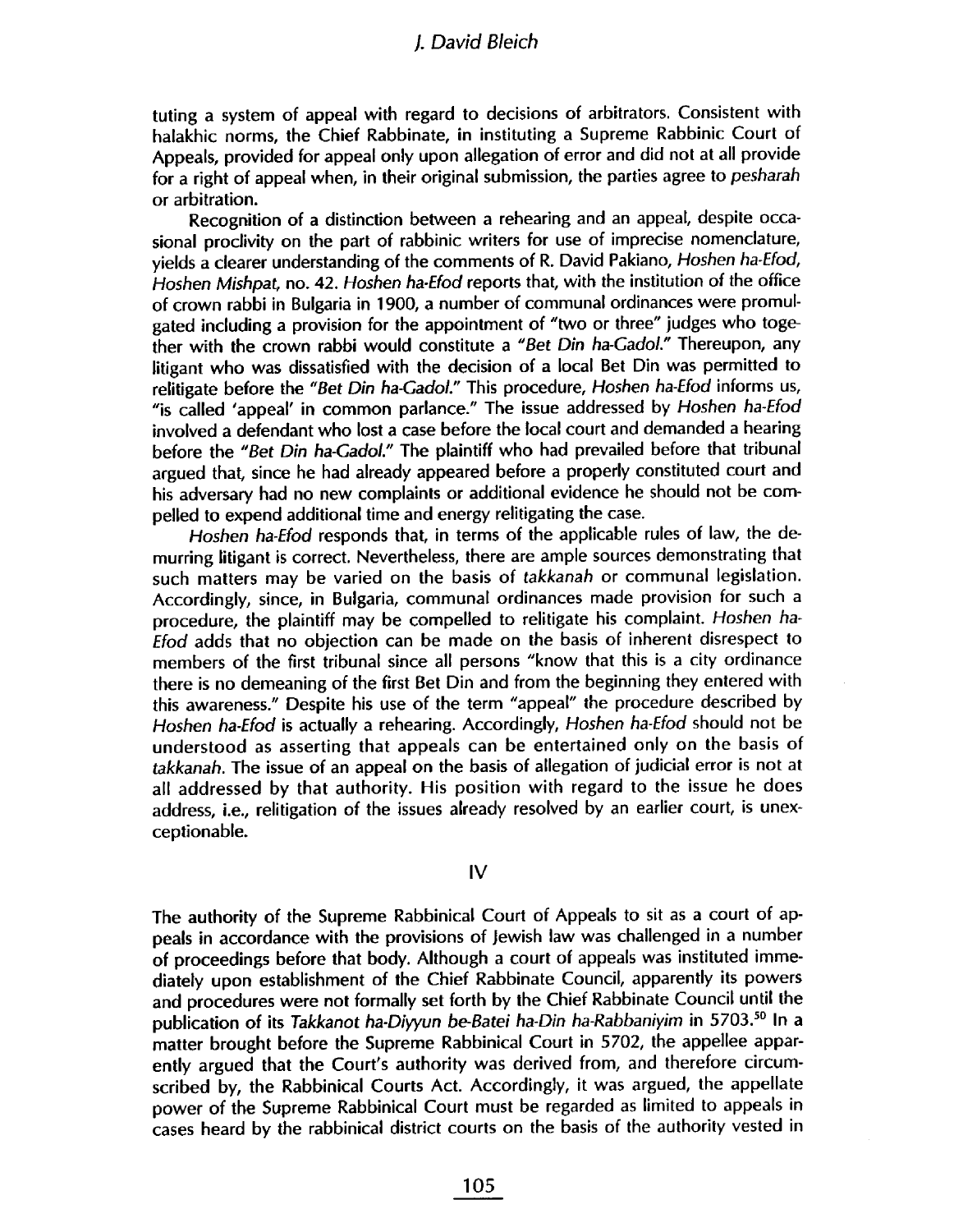tuting a system of appeal with regard to decisions of arbitrators, Consistent with halakhic norms, the Chief Rabbinate, in instituting a Supreme Rabbinic Court of Appeals, provided for appeal only upon allegation of error and did not at all provide for a right of appeal when, in their original submission, the parties agree to pesharah or arbitration.

Recognition of a distinction between a rehearing and an appeal, despite occa. sional proclivity on the part of rabbinic writers for use of imprecise nomenclature, yields a clearer understanding of the comments of R. David Pakiano, Hoshen ha-Efod, Hoshen Mishpat, no. 42. Hoshen ha-Efod reports that, with the institution of the office of crown rabbi in Bulgaria in 1900, a number of communal ordinances were promulgated including a provision for the appointment of "two or three" judges who together with the crown rabbi would constitute a "Bet Din ha-Gadol." Thereupon, any litigant who was dissatisfied with the decision of a local Bet Din was permitted to relitigate before the "Bet Din ha-Gadol." This procedure, Hoshen ha-Efod informs us, "is called 'appeal' in common parlance." The issue addressed by Hoshen ha-Efod involved a defendant who lost a case before the local court and demanded a hearing before the "Bet Din ha-Gadol." The plaintiff who had prevailed before that tribunal argued that, since he had already appeared before a properly constituted court and his adversary had no new complaints or additional evidence he should not be compelled to expend additional time and energy relitigating the case.

Hoshen ha-Efod responds that, in terms of the applicable rules of law, the demurring litigant is correct. Nevertheless, there are ample sources demonstrating that such matters may be varied on the basis of takkanah or communal legislation. Accordingly, since, in Bulgaria, communal ordinances made provision for such a procedure, the plaintiff may be compelled to relitigate his complaint. Hoshen ha-Efod adds that no objection can be made on the basis of inherent disrespect to members of the first tribunal since all persons "know that this is a city ordinance there is no demeaning of the first Bet Din and from the beginning they entered with this awareness." Despite his use of the term "appeal" the procedure described by Hoshen ha-Efod is actually a rehearing. Accordingly, Hoshen ha-Efod should not be understood as asserting that appeals can be entertained only on the basis of takkanah. The issue of an appeal on the basis of allegation of judicial error is not at all addressed by that authority. His position with regard to the issue he does address, i.e., relitigation of the issues already resolved by an earlier court, is unexceptionable.

iV

The authority of the Supreme Rabbinical Court of Appeals to sit as a court of appeals in accordance with the provisions of Jewish law was challenged in a number of proceedings before that body. Although a court of appeals was instituted immediately upon establishment of the Chief Rabbinate Council, apparently its powers and procedures were not formally set forth by the Chief Rabbinate Council until the publication of its Takkanot ha-Diyyun be-Batei ha-Din ha-Rabbaniyim in 5703.<sup>50</sup> In a matter brought before the Supreme Rabbinical Court in 5702, the appellee apparently argued that the Court's authority was derived from, and therefore circumscribed by, the Rabbinical Courts Act. Accordingly, it was argued, the appellate power of the Supreme Rabbinical Court must be regarded as limited to appeals in cases heard by the rabbinical district courts on the basis of the authority vested in